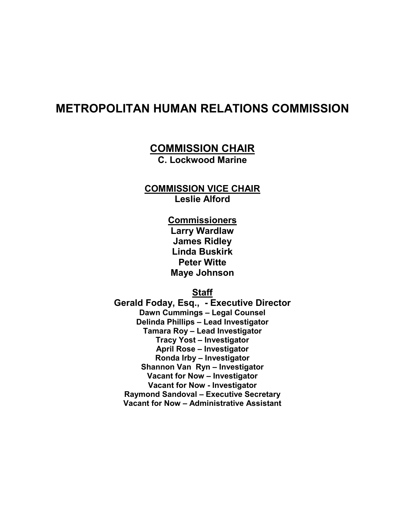# METROPOLITAN HUMAN RELATIONS COMMISSION

# COMMISSION CHAIR

C. Lockwood Marine

## COMMISSION VICE CHAIR Leslie Alford

**Commissioners** Larry Wardlaw James Ridley Linda Buskirk Peter Witte Maye Johnson

## Staff

Gerald Foday, Esq., - Executive Director Dawn Cummings – Legal Counsel Delinda Phillips – Lead Investigator Tamara Roy – Lead Investigator Tracy Yost – Investigator April Rose – Investigator Ronda Irby – Investigator Shannon Van Ryn – Investigator Vacant for Now – Investigator Vacant for Now - Investigator Raymond Sandoval – Executive Secretary Vacant for Now – Administrative Assistant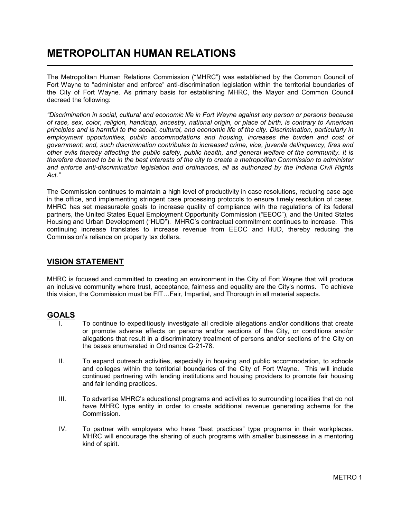# METROPOLITAN HUMAN RELATIONS

The Metropolitan Human Relations Commission ("MHRC") was established by the Common Council of Fort Wayne to "administer and enforce" anti-discrimination legislation within the territorial boundaries of the City of Fort Wayne. As primary basis for establishing MHRC, the Mayor and Common Council decreed the following:

"Discrimination in social, cultural and economic life in Fort Wayne against any person or persons because of race, sex, color, religion, handicap, ancestry, national origin, or place of birth, is contrary to American principles and is harmful to the social, cultural, and economic life of the city. Discrimination, particularly in employment opportunities, public accommodations and housing, increases the burden and cost of government; and, such discrimination contributes to increased crime, vice, juvenile delinquency, fires and other evils thereby affecting the public safety, public health, and general welfare of the community. It is therefore deemed to be in the best interests of the city to create a metropolitan Commission to administer and enforce anti-discrimination legislation and ordinances, all as authorized by the Indiana Civil Rights Act."

The Commission continues to maintain a high level of productivity in case resolutions, reducing case age in the office, and implementing stringent case processing protocols to ensure timely resolution of cases. MHRC has set measurable goals to increase quality of compliance with the regulations of its federal partners, the United States Equal Employment Opportunity Commission ("EEOC"), and the United States Housing and Urban Development ("HUD"). MHRC's contractual commitment continues to increase. This continuing increase translates to increase revenue from EEOC and HUD, thereby reducing the Commission's reliance on property tax dollars.

### VISION STATEMENT

MHRC is focused and committed to creating an environment in the City of Fort Wayne that will produce an inclusive community where trust, acceptance, fairness and equality are the City's norms. To achieve this vision, the Commission must be FIT…Fair, Impartial, and Thorough in all material aspects.

### GOALS

l

- To continue to expeditiously investigate all credible allegations and/or conditions that create or promote adverse effects on persons and/or sections of the City, or conditions and/or allegations that result in a discriminatory treatment of persons and/or sections of the City on the bases enumerated in Ordinance G-21-78.
- II. To expand outreach activities, especially in housing and public accommodation, to schools and colleges within the territorial boundaries of the City of Fort Wayne. This will include continued partnering with lending institutions and housing providers to promote fair housing and fair lending practices.
- III. To advertise MHRC's educational programs and activities to surrounding localities that do not have MHRC type entity in order to create additional revenue generating scheme for the Commission.
- IV. To partner with employers who have "best practices" type programs in their workplaces. MHRC will encourage the sharing of such programs with smaller businesses in a mentoring kind of spirit.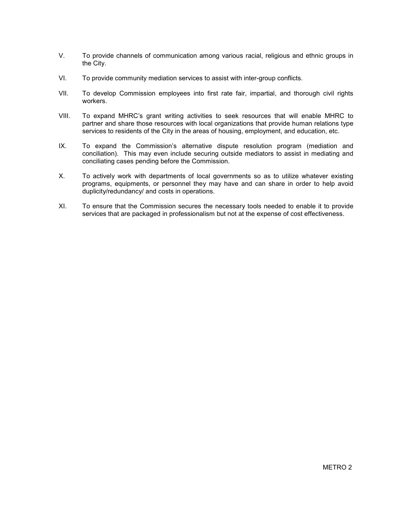- V. To provide channels of communication among various racial, religious and ethnic groups in the City.
- VI. To provide community mediation services to assist with inter-group conflicts.
- VII. To develop Commission employees into first rate fair, impartial, and thorough civil rights workers.
- VIII. To expand MHRC's grant writing activities to seek resources that will enable MHRC to partner and share those resources with local organizations that provide human relations type services to residents of the City in the areas of housing, employment, and education, etc.
- IX. To expand the Commission's alternative dispute resolution program (mediation and conciliation). This may even include securing outside mediators to assist in mediating and conciliating cases pending before the Commission.
- X. To actively work with departments of local governments so as to utilize whatever existing programs, equipments, or personnel they may have and can share in order to help avoid duplicity/redundancy/ and costs in operations.
- XI. To ensure that the Commission secures the necessary tools needed to enable it to provide services that are packaged in professionalism but not at the expense of cost effectiveness.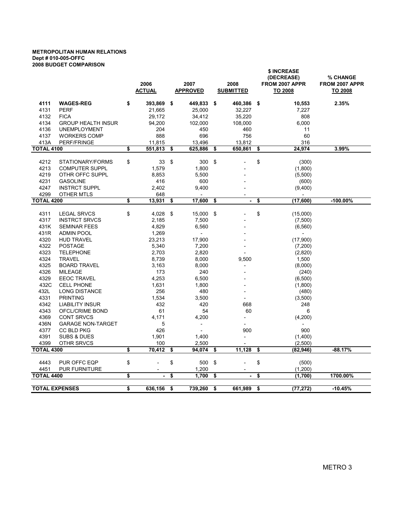#### METROPOLITAN HUMAN RELATIONS Dept # 010-005-OFFC 2008 BUDGET COMPARISON

|                           |                                                  |    | 2006<br>2007<br><b>ACTUAL</b><br><b>APPROVED</b> |    |                          | 2008<br><b>SUBMITTED</b> | \$ INCREASE<br>(DECREASE)<br>FROM 2007 APPR<br>TO 2008 | % CHANGE<br>FROM 2007 APPR<br>TO 2008 |             |  |
|---------------------------|--------------------------------------------------|----|--------------------------------------------------|----|--------------------------|--------------------------|--------------------------------------------------------|---------------------------------------|-------------|--|
| 4111                      | <b>WAGES-REG</b>                                 | \$ | 393,869                                          | \$ | 449,833                  | \$                       | 460,386                                                | \$<br>10,553                          | 2.35%       |  |
| 4131                      | <b>PERF</b>                                      |    | 21,665                                           |    | 25,000                   |                          | 32,227                                                 | 7,227                                 |             |  |
| 4132                      | <b>FICA</b>                                      |    | 29,172                                           |    | 34,412                   |                          | 35,220                                                 | 808                                   |             |  |
| 4134                      | <b>GROUP HEALTH INSUR</b>                        |    | 94,200                                           |    | 102,000                  |                          | 108,000                                                | 6,000                                 |             |  |
| 4136                      | <b>UNEMPLOYMENT</b>                              |    | 204                                              |    | 450                      |                          | 460                                                    | 11                                    |             |  |
| 4137                      | <b>WORKERS COMP</b>                              |    | 888                                              |    | 696                      |                          | 756                                                    | 60                                    |             |  |
| 413A                      | PERF/FRINGE                                      |    | 11,815                                           |    | 13,496                   |                          | 13,812                                                 | 316                                   |             |  |
|                           | <b>TOTAL 4100</b>                                |    | 551,813                                          | \$ | 625,886                  | \$                       | 650,861                                                | \$<br>24,974                          | 3.99%       |  |
|                           |                                                  |    |                                                  |    |                          |                          |                                                        |                                       |             |  |
| 4212                      | STATIONARY/FORMS                                 | \$ | 33                                               | \$ | 300                      | \$                       |                                                        | \$<br>(300)                           |             |  |
| 4213                      | <b>COMPUTER SUPPL</b>                            |    | 1,579                                            |    | 1,800                    |                          |                                                        | (1,800)                               |             |  |
| 4219                      | OTHR OFFC SUPPL                                  |    | 8,853                                            |    | 5,500                    |                          |                                                        | (5,500)                               |             |  |
| 4231                      | <b>GASOLINE</b>                                  |    | 416                                              |    | 600                      |                          |                                                        | (600)                                 |             |  |
| 4247                      | <b>INSTRCT SUPPL</b>                             |    | 2,402                                            |    | 9,400                    |                          |                                                        | (9,400)                               |             |  |
| 4299                      | OTHER MTLS                                       |    | 648                                              |    |                          |                          |                                                        |                                       |             |  |
| <b>TOTAL 4200</b>         |                                                  | \$ | 13,931                                           | \$ | 17,600                   | \$                       | ä,                                                     | \$<br>(17,600)                        | $-100.00\%$ |  |
| 4311                      | <b>LEGAL SRVCS</b>                               | \$ | 4,028                                            | \$ | 15,000                   | -\$                      |                                                        | \$<br>(15,000)                        |             |  |
| 4317                      | <b>INSTRCT SRVCS</b>                             |    |                                                  |    | 7,500                    |                          |                                                        |                                       |             |  |
| 431K                      | <b>SEMINAR FEES</b>                              |    | 2,185<br>4,829                                   |    | 6,560                    |                          |                                                        | (7,500)                               |             |  |
| 431R                      | <b>ADMIN POOL</b>                                |    | 1,269                                            |    | $\overline{\phantom{a}}$ |                          |                                                        | (6, 560)                              |             |  |
| 4320                      | <b>HUD TRAVEL</b>                                |    |                                                  |    | 17,900                   |                          |                                                        |                                       |             |  |
| 4322                      | <b>POSTAGE</b>                                   |    | 23,213<br>5,340                                  |    | 7,200                    |                          |                                                        | (17,900)                              |             |  |
| 4323                      | <b>TELEPHONE</b>                                 |    |                                                  |    |                          |                          |                                                        | (7,200)                               |             |  |
| 4324                      | <b>TRAVEL</b>                                    |    | 2,703<br>8,739                                   |    | 2,820<br>8,000           |                          | 9,500                                                  | (2,820)                               |             |  |
| 4325                      | <b>BOARD TRAVEL</b>                              |    |                                                  |    |                          |                          |                                                        | 1,500                                 |             |  |
|                           | <b>MILEAGE</b>                                   |    | 3,163                                            |    | 8,000                    |                          |                                                        | (8,000)                               |             |  |
| 4326                      |                                                  |    | 173                                              |    | 240                      |                          |                                                        | (240)                                 |             |  |
| 4329                      | <b>EEOC TRAVEL</b>                               |    | 4,253                                            |    | 6,500                    |                          |                                                        | (6,500)                               |             |  |
| 432C                      | <b>CELL PHONE</b>                                |    | 1,631                                            |    | 1,800                    |                          |                                                        | (1,800)                               |             |  |
| 432L                      | <b>LONG DISTANCE</b><br><b>PRINTING</b>          |    | 256                                              |    | 480                      |                          |                                                        | (480)                                 |             |  |
| 4331<br>4342              |                                                  |    | 1,534                                            |    | 3,500                    |                          |                                                        | (3,500)                               |             |  |
| 4343                      | <b>LIABILITY INSUR</b><br><b>OFCL/CRIME BOND</b> |    | 432<br>61                                        |    | 420<br>54                |                          | 668<br>60                                              | 248<br>6                              |             |  |
| 4369                      | <b>CONT SRVCS</b>                                |    | 4,171                                            |    |                          |                          | $\overline{a}$                                         |                                       |             |  |
|                           |                                                  |    |                                                  |    | 4,200                    |                          |                                                        | (4, 200)                              |             |  |
| 436N                      | <b>GARAGE NON-TARGET</b><br><b>CC BLD PKG</b>    |    | 5                                                |    |                          |                          | 900                                                    | 900                                   |             |  |
| 4377<br>4391              | <b>SUBS &amp; DUES</b>                           |    | 426                                              |    | 1,400                    |                          | $\overline{\phantom{a}}$                               |                                       |             |  |
|                           |                                                  |    | 1,901                                            |    |                          |                          |                                                        | (1,400)                               |             |  |
| 4399<br><b>TOTAL 4300</b> | OTHR SRVCS                                       | \$ | 100<br>70,412                                    | \$ | 2,500<br>94,074          | \$                       | 11,128                                                 | \$<br>(2,500)<br>(82,946)             | $-88.17%$   |  |
|                           |                                                  |    |                                                  |    |                          |                          |                                                        |                                       |             |  |
| 4443                      | PUR OFFC EQP                                     | \$ |                                                  | \$ | 500                      | \$                       |                                                        | \$<br>(500)                           |             |  |
| 4451                      | <b>PUR FURNITURE</b>                             |    |                                                  |    | 1,200                    |                          |                                                        | (1,200)                               |             |  |
| <b>TOTAL 4400</b>         |                                                  | \$ | $\blacksquare$                                   | \$ | 1.700                    | \$                       | $\blacksquare$                                         | \$<br>(1,700)                         | 1700.00%    |  |
|                           |                                                  |    |                                                  |    |                          |                          |                                                        |                                       |             |  |
| <b>TOTAL EXPENSES</b>     |                                                  | \$ | 636, 156                                         | \$ | 739,260                  | \$                       | 661,989                                                | \$<br>(77, 272)                       | $-10.45%$   |  |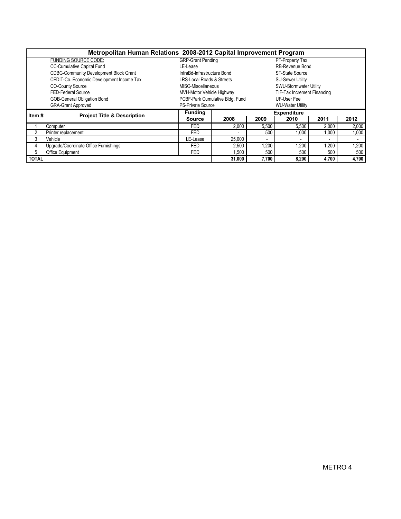| Metropolitan Human Relations 2008-2012 Capital Improvement Program |                                               |                                      |                                 |                    |                             |       |       |  |  |  |  |
|--------------------------------------------------------------------|-----------------------------------------------|--------------------------------------|---------------------------------|--------------------|-----------------------------|-------|-------|--|--|--|--|
|                                                                    | <b>FUNDING SOURCE CODE:</b>                   | <b>GRP-Grant Pending</b>             |                                 |                    | PT-Property Tax             |       |       |  |  |  |  |
|                                                                    | <b>CC-Cumulative Capital Fund</b>             | LE-Lease                             |                                 |                    | RB-Revenue Bond             |       |       |  |  |  |  |
|                                                                    | <b>CDBG-Community Development Block Grant</b> | InfraBd-Infrastructure Bond          |                                 |                    | <b>ST-State Source</b>      |       |       |  |  |  |  |
|                                                                    | CEDIT-Co. Economic Development Income Tax     | <b>LRS-Local Roads &amp; Streets</b> |                                 |                    | <b>SU-Sewer Utility</b>     |       |       |  |  |  |  |
|                                                                    | <b>CO-County Source</b>                       | MISC-Miscellaneous                   |                                 |                    | SWU-Stormwater Utility      |       |       |  |  |  |  |
|                                                                    | FED-Federal Source                            | MVH-Motor Vehicle Highway            |                                 |                    | TIF-Tax Increment Financing |       |       |  |  |  |  |
|                                                                    | <b>GOB-General Obligation Bond</b>            |                                      | PCBF-Park Cumulative Bldg. Fund |                    | UF-User Fee                 |       |       |  |  |  |  |
|                                                                    | <b>GRA-Grant Approved</b>                     | <b>PS-Private Source</b>             |                                 |                    | <b>WU-Water Utility</b>     |       |       |  |  |  |  |
| Item#                                                              | <b>Project Title &amp; Description</b>        | <b>Funding</b>                       |                                 | <b>Expenditure</b> |                             |       |       |  |  |  |  |
|                                                                    |                                               | <b>Source</b>                        | 2008                            | 2009               | 2010                        | 2011  | 2012  |  |  |  |  |
|                                                                    | Computer                                      | <b>FED</b>                           | 2,000                           | 5,500              | 5,500                       | 2,000 | 2,000 |  |  |  |  |
| 2                                                                  | Printer replacement                           | <b>FED</b>                           |                                 | 500                | 000                         | 1.000 | 1.000 |  |  |  |  |
| 3                                                                  | Vehicle                                       | LE-Lease                             | 25,000                          |                    |                             |       |       |  |  |  |  |
| 4                                                                  | Upgrade/Coordinate Office Furnishings         | <b>FED</b>                           | 2,500                           | 1,200              | ,200                        | .200  | 1,200 |  |  |  |  |
| 5                                                                  | Office Equipment                              | <b>FED</b>                           | 1,500                           | 500                | 500                         | 500   | 500   |  |  |  |  |
| <b>TOTAL</b>                                                       |                                               |                                      | 31,000                          | 7.700              | 8.200                       | 4.700 | 4,700 |  |  |  |  |